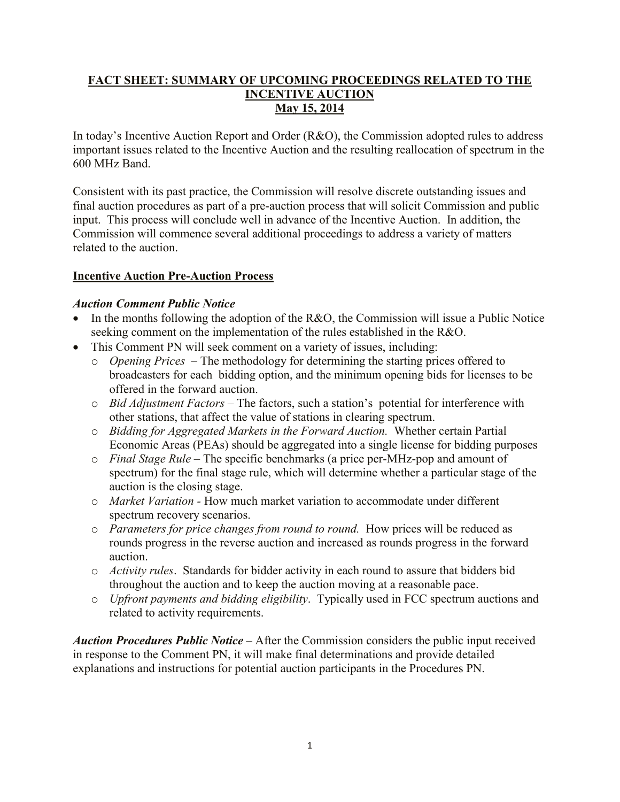## **FACT SHEET: SUMMARY OF UPCOMING PROCEEDINGS RELATED TO THE INCENTIVE AUCTION May 15, 2014**

In today's Incentive Auction Report and Order (R&O), the Commission adopted rules to address important issues related to the Incentive Auction and the resulting reallocation of spectrum in the 600 MHz Band.

Consistent with its past practice, the Commission will resolve discrete outstanding issues and final auction procedures as part of a pre-auction process that will solicit Commission and public input. This process will conclude well in advance of the Incentive Auction. In addition, the Commission will commence several additional proceedings to address a variety of matters related to the auction.

## **Incentive Auction Pre-Auction Process**

## *Auction Comment Public Notice*

- In the months following the adoption of the R&O, the Commission will issue a Public Notice seeking comment on the implementation of the rules established in the R&O.
- This Comment PN will seek comment on a variety of issues, including:
	- o *Opening Prices* The methodology for determining the starting prices offered to broadcasters for each bidding option, and the minimum opening bids for licenses to be offered in the forward auction.
	- o *Bid Adjustment Factors –* The factors, such a station's potential for interference with other stations, that affect the value of stations in clearing spectrum.
	- o *Bidding for Aggregated Markets in the Forward Auction.* Whether certain Partial Economic Areas (PEAs) should be aggregated into a single license for bidding purposes
	- o *Final Stage Rule* The specific benchmarks (a price per-MHz-pop and amount of spectrum) for the final stage rule, which will determine whether a particular stage of the auction is the closing stage.
	- o *Market Variation -* How much market variation to accommodate under different spectrum recovery scenarios.
	- o *Parameters for price changes from round to round.* How prices will be reduced as rounds progress in the reverse auction and increased as rounds progress in the forward auction.
	- o *Activity rules*. Standards for bidder activity in each round to assure that bidders bid throughout the auction and to keep the auction moving at a reasonable pace.
	- o *Upfront payments and bidding eligibility*. Typically used in FCC spectrum auctions and related to activity requirements.

*Auction Procedures Public Notice* – After the Commission considers the public input received in response to the Comment PN, it will make final determinations and provide detailed explanations and instructions for potential auction participants in the Procedures PN.